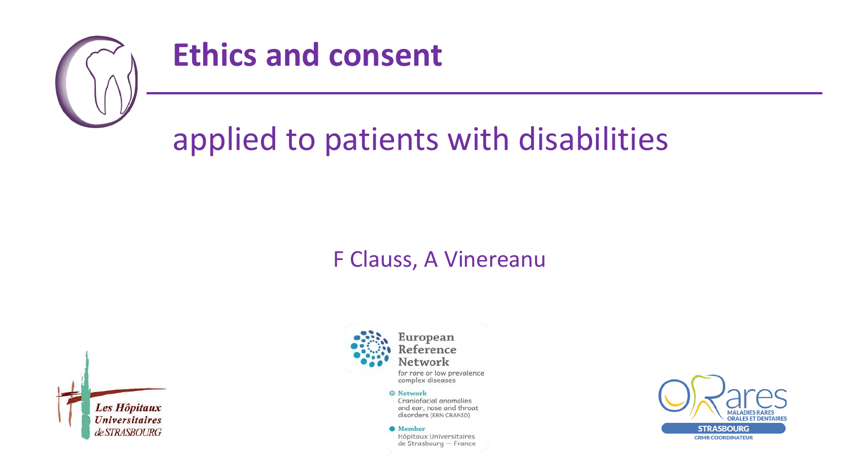

#### **Ethics and consent**

# applied to patients with disabilities

#### F Clauss, A Vinereanu





for rare or low prevalence complex diseases

#### **O** Network

Craniofacial anomalies and ear, nose and throat disorders (ERN CRANIO)

**O** Member Hôpitaux Universitaires de Strasbourg - France

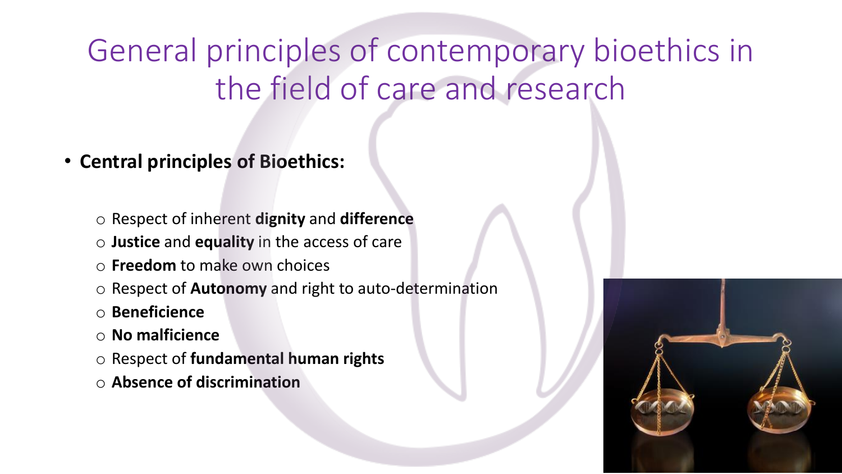- **Central principles of Bioethics:**
	- o Respect of inherent **dignity** and **difference**
	- o **Justice** and **equality** in the access of care
	- o **Freedom** to make own choices
	- o Respect of **Autonomy** and right to auto-determination
	- o **Beneficience**
	- o **No malficience**
	- o Respect of **fundamental human rights**
	- o **Absence of discrimination**

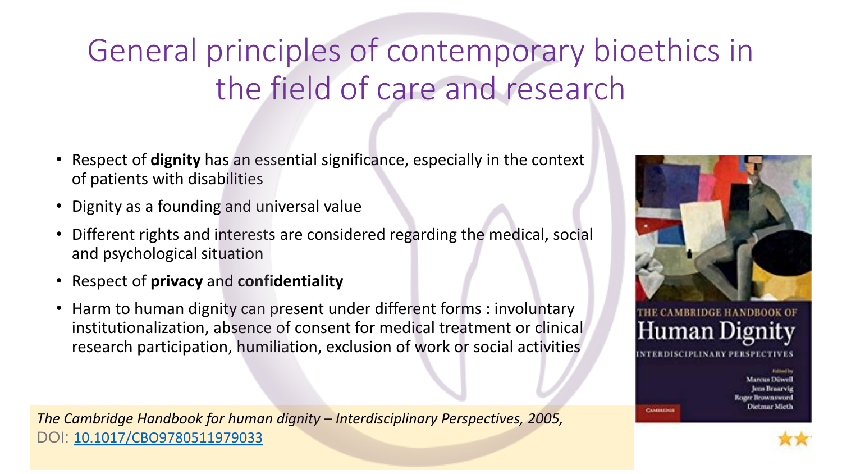- Respect of **dignity** has an essential significance, especially in the context of patients with disabilities
- Dignity as a founding and universal value
- Different rights and interests are considered regarding the medical, social and psychological situation
- Respect of **privacy** and **confidentiality**
- Harm to human dignity can present under different forms : involuntary institutionalization, absence of consent for medical treatment or clinical research participation, humiliation, exclusion of work or social activities

*The Cambridge Handbook for human dignity – Interdisciplinary Perspectives, 2005,* DOI: [10.1017/CBO9780511979033](https://www.researchgate.net/deref/http%3A%2F%2Fdx.doi.org%2F10.1017%2FCBO9780511979033?_sg%5B0%5D=YJzKr2Z9l0Bx2SOTGn6ZZBqeFioaJg2l3MI1KVm9sKhNPEYVNLEYcca5OKn8cGCK4FA3CyCsF8AARQu-ri91PKyiBQ.xmhA3ZsW59Cs3UGk0udSaSCPEEmMAcHGfYNkkBgpCGQGWZ5wxBtKFFyeeLjvLYTV6auc6yQxpYfoStoEqJi7og)





farcus Dúwel ens Braarvig **Brownsword** %etmar Mieth

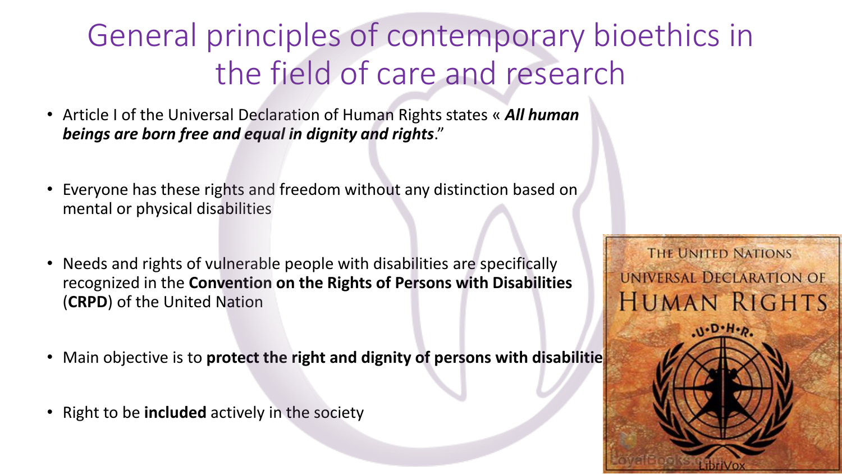- Article I of the Universal Declaration of Human Rights states « *All human beings are born free and equal in dignity and rights*."
- Everyone has these rights and freedom without any distinction based on mental or physical disabilities
- Needs and rights of vulnerable people with disabilities are specifically recognized in the **Convention on the Rights of Persons with Disabilities** (**CRPD**) of the United Nation
- **Main objective is to protect the right and dignity of persons with disabilitie**
- Right to be **included** actively in the society

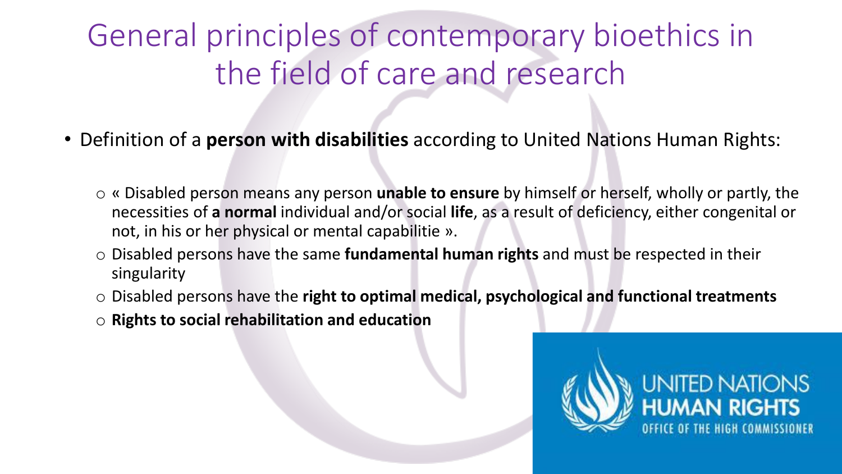- Definition of a **person with disabilities** according to United Nations Human Rights:
	- o « Disabled person means any person **unable to ensure** by himself or herself, wholly or partly, the necessities of **a normal** individual and/or social **life**, as a result of deficiency, either congenital or not, in his or her physical or mental capabilitie ».
	- o Disabled persons have the same **fundamental human rights** and must be respected in their singularity
	- o Disabled persons have the **right to optimal medical, psychological and functional treatments**
	- o **Rights to social rehabilitation and education**

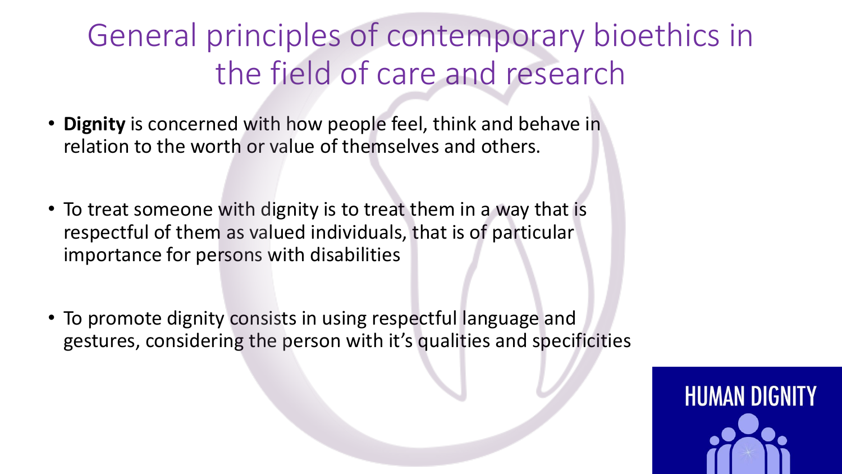- **Dignity** is concerned with how people feel, think and behave in relation to the worth or value of themselves and others.
- To treat someone with dignity is to treat them in a way that is respectful of them as valued individuals, that is of particular importance for persons with disabilities
- To promote dignity consists in using respectful language and gestures, considering the person with it's qualities and specificities

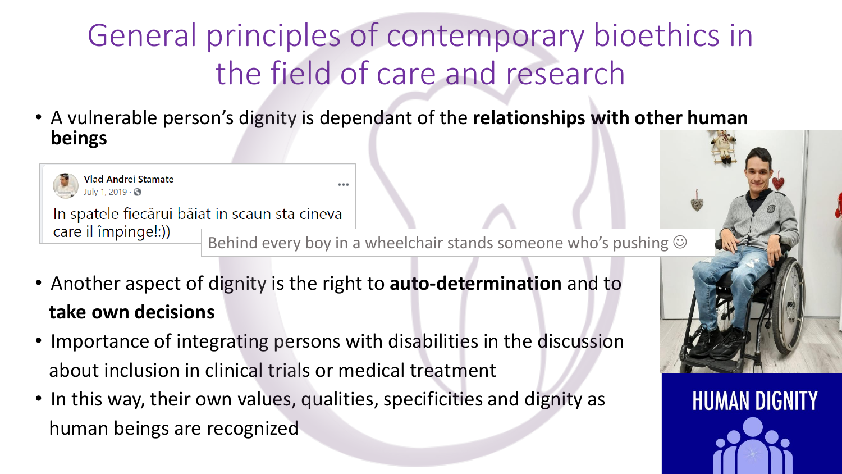• A vulnerable person's dignity is dependant of the **relationships with other human beings**



In spatele fiecărui băiat in scaun sta cineva care il împinge!:))

Behind every boy in a wheelchair stands someone who's pushing  $\odot$ 

**HUMAN DIGNITY** 

- Another aspect of dignity is the right to **auto-determination** and to **take own decisions**
- Importance of integrating persons with disabilities in the discussion about inclusion in clinical trials or medical treatment
- In this way, their own values, qualities, specificities and dignity as human beings are recognized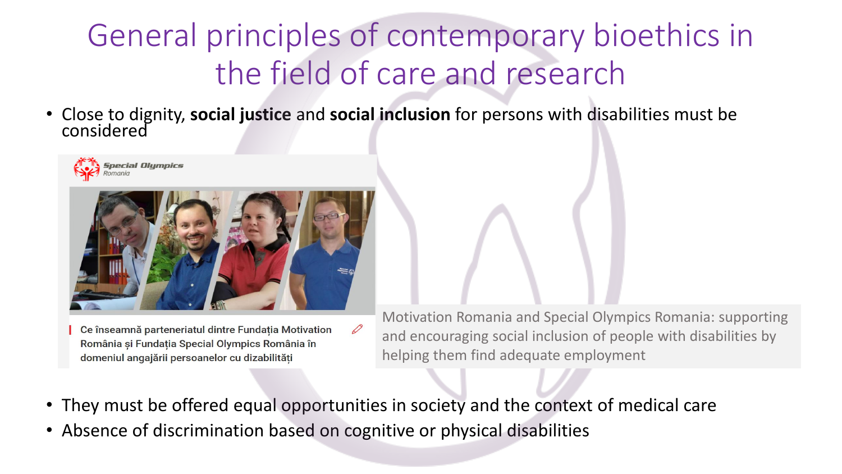• Close to dignity, **social justice** and **social inclusion** for persons with disabilities must be considered





Ce înseamnă parteneriatul dintre Fundația Motivation România și Fundația Special Olympics România în domeniul angajării persoanelor cu dizabilități

Motivation Romania and Special Olympics Romania: supporting and encouraging social inclusion of people with disabilities by helping them find adequate employment

• They must be offered equal opportunities in society and the context of medical care

 $\varnothing$ 

• Absence of discrimination based on cognitive or physical disabilities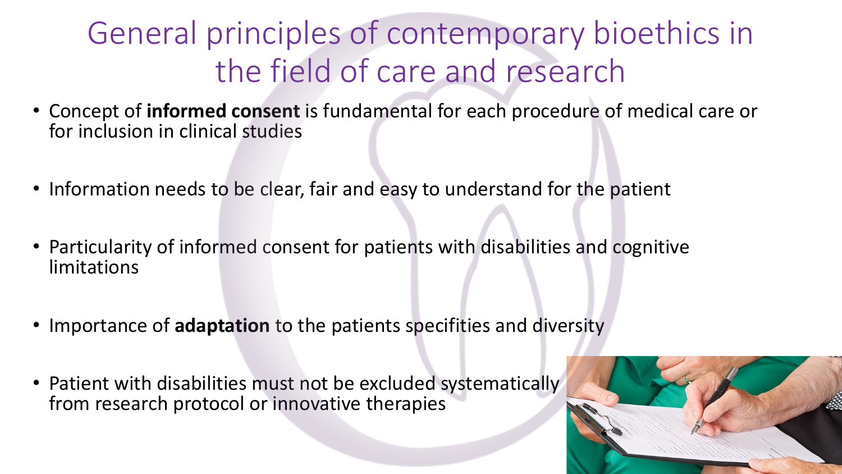- Concept of **informed consent** is fundamental for each procedure of medical care or for inclusion in clinical studies
- Information needs to be clear, fair and easy to understand for the patient
- Particularity of informed consent for patients with disabilities and cognitive limitations
- Importance of **adaptation** to the patients specifities and diversity
- Patient with disabilities must not be excluded systematically from research protocol or innovative therapies

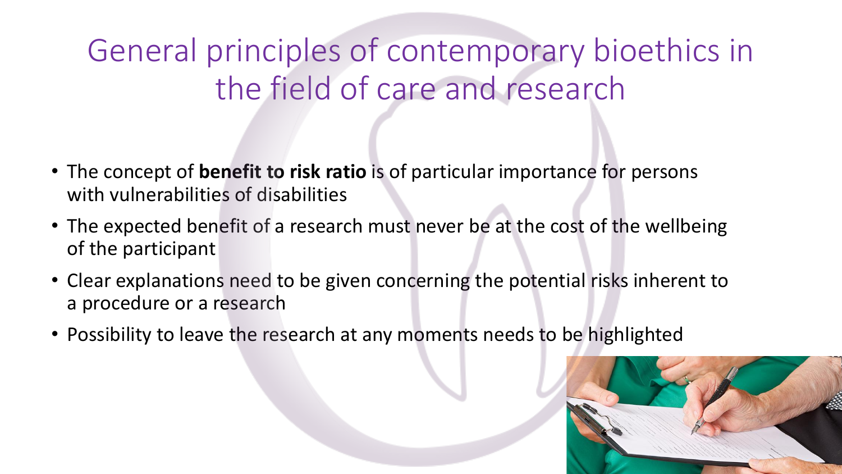- The concept of **benefit to risk ratio** is of particular importance for persons with vulnerabilities of disabilities
- The expected benefit of a research must never be at the cost of the wellbeing of the participant
- Clear explanations need to be given concerning the potential risks inherent to a procedure or a research
- Possibility to leave the research at any moments needs to be highlighted

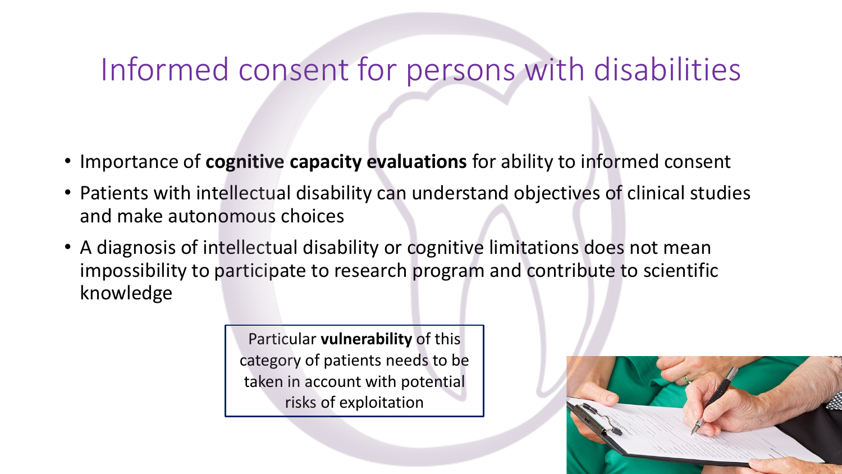#### Informed consent for persons with disabilities

- Importance of **cognitive capacity evaluations** for ability to informed consent
- Patients with intellectual disability can understand objectives of clinical studies and make autonomous choices
- A diagnosis of intellectual disability or cognitive limitations does not mean impossibility to participate to research program and contribute to scientific knowledge

Particular **vulnerability** of this category of patients needs to be taken in account with potential risks of exploitation

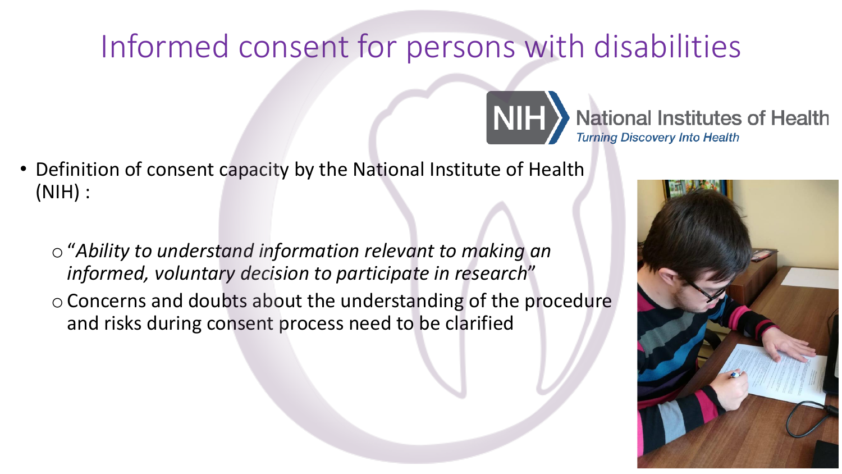#### Informed consent for persons with disabilities

**NIH** 

- Definition of consent capacity by the National Institute of Health (NIH) :
	- o"*Ability to understand information relevant to making an informed, voluntary decision to participate in research*" oConcerns and doubts about the understanding of the procedure and risks during consent process need to be clarified



**National Institutes of Health** 

**Turning Discovery Into Health**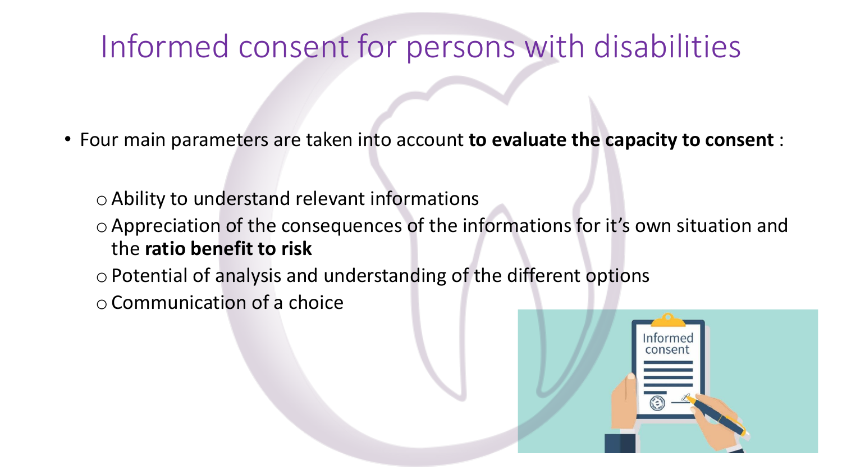#### Informed consent for persons with disabilities

- Four main parameters are taken into account **to evaluate the capacity to consent** :
	- $\circ$  Ability to understand relevant informations
	- oAppreciation of the consequences of the informations for it's own situation and the **ratio benefit to risk**
	- o Potential of analysis and understanding of the different options
	- oCommunication of a choice

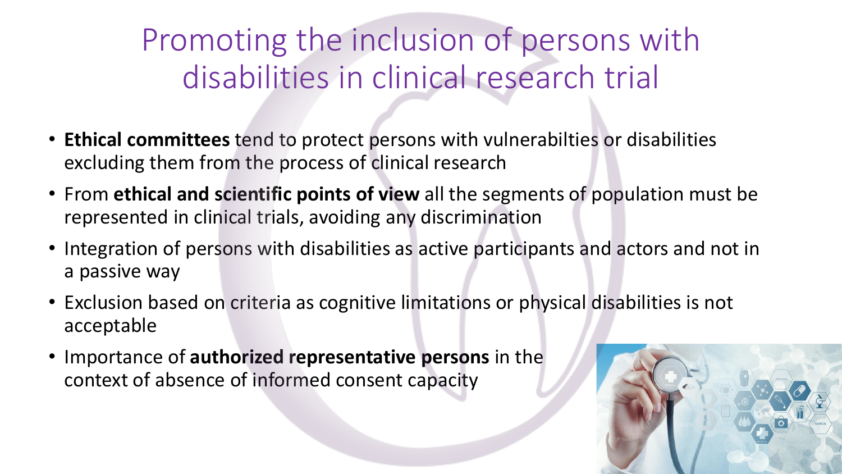#### Promoting the inclusion of persons with disabilities in clinical research trial

- **Ethical committees** tend to protect persons with vulnerabilties or disabilities excluding them from the process of clinical research
- From **ethical and scientific points of view** all the segments of population must be represented in clinical trials, avoiding any discrimination
- Integration of persons with disabilities as active participants and actors and not in a passive way
- Exclusion based on criteria as cognitive limitations or physical disabilities is not acceptable
- Importance of **authorized representative persons** in the context of absence of informed consent capacity

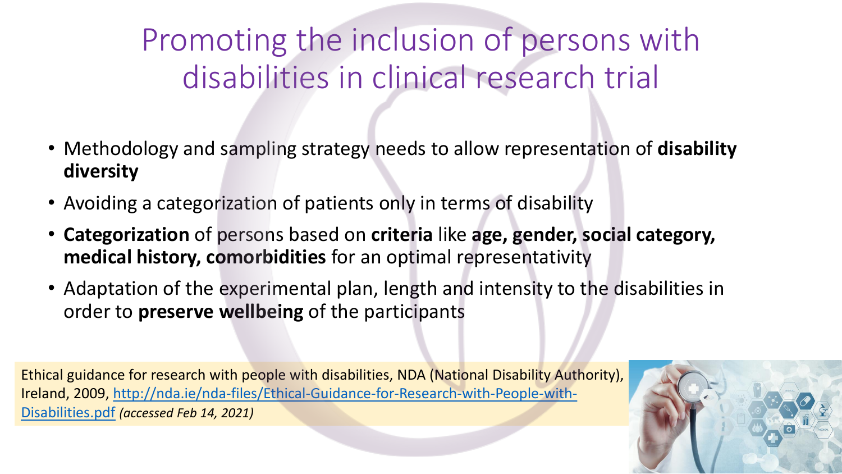#### Promoting the inclusion of persons with disabilities in clinical research trial

- Methodology and sampling strategy needs to allow representation of **disability diversity**
- Avoiding a categorization of patients only in terms of disability
- **Categorization** of persons based on **criteria** like **age, gender, social category, medical history, comorbidities** for an optimal representativity
- Adaptation of the experimental plan, length and intensity to the disabilities in order to **preserve wellbeing** of the participants

Ethical guidance for research with people with disabilities, NDA (National Disability Authority), [Ireland, 2009, http://nda.ie/nda-files/Ethical-Guidance-for-Research-with-People-with-](http://nda.ie/nda-files/Ethical-Guidance-for-Research-with-People-with-Disabilities.pdf)Disabilities.pdf *(accessed Feb 14, 2021)*

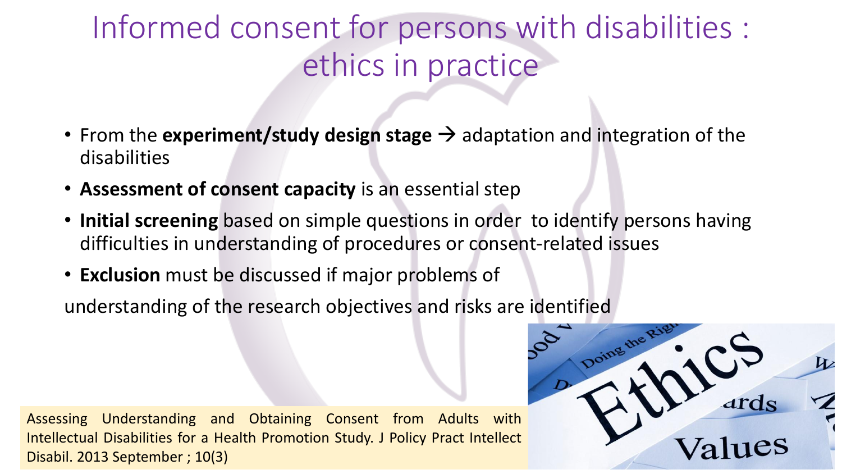#### Informed consent for persons with disabilities : ethics in practice

- From the **experiment/study design stage** → adaptation and integration of the disabilities
- **Assessment of consent capacity** is an essential step
- **Initial screening** based on simple questions in order to identify persons having difficulties in understanding of procedures or consent-related issues
- **Exclusion** must be discussed if major problems of

understanding of the research objectives and risks are identified

Assessing Understanding and Obtaining Consent from Adults with Intellectual Disabilities for a Health Promotion Study. J Policy Pract Intellect Disabil. 2013 September ; 10(3)